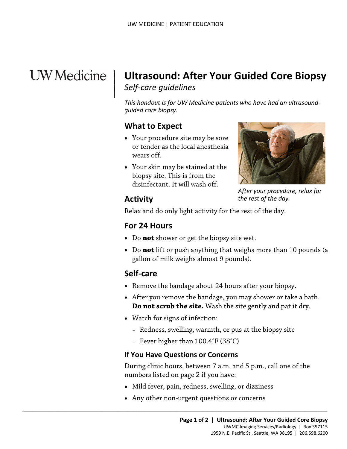# **UW** Medicine

 $\overline{\phantom{a}}$ 

# <sup>|</sup>**Ultrasound: After Your Guided Core Biopsy** | *Self-care guidelines* <sup>|</sup>

 *guided core biopsy. This handout is for UW Medicine patients who have had an ultrasound-*

#### **What to Expect**

- Your procedure site may be sore or tender as the local anesthesia wears off.
- Your skin may be stained at the<br>biopsy site. This is from the<br>disinfectant. It will wash off.<br>**Activity** the rest of the day.<br>Relax and do only light activity for the rest of the day. • Your skin may be stained at the biopsy site. This is from the disinfectant. It will wash off.



*After your procedure, relax for the rest of the day.* 

#### **Activity**

Relax and do only light activity for the rest of the day.

#### **For 24 Hours**

- Do **not** shower or get the biopsy site wet.
- Do **not** lift or push anything that weighs more than 10 pounds (a gallon of milk weighs almost 9 pounds).

# **Self-care**

- Remove the bandage about 24 hours after your biopsy.
- After you remove the bandage, you may shower or take a bath. **Do not scrub the site.** Wash the site gently and pat it dry.
- Watch for signs of infection:
	- Redness, swelling, warmth, or pus at the biopsy site
	- Fever higher than 100.4°F (38°C)

#### **If You Have Questions or Concerns**

 $\_$  ,  $\_$  ,  $\_$  ,  $\_$  ,  $\_$  ,  $\_$  ,  $\_$  ,  $\_$  ,  $\_$  ,  $\_$  ,  $\_$  ,  $\_$  ,  $\_$  ,  $\_$  ,  $\_$  ,  $\_$  ,  $\_$  ,  $\_$  ,  $\_$  ,  $\_$  ,  $\_$  ,  $\_$  ,  $\_$  ,  $\_$  ,  $\_$  ,  $\_$  ,  $\_$  ,  $\_$  ,  $\_$  ,  $\_$  ,  $\_$  ,  $\_$  ,  $\_$  ,  $\_$  ,  $\_$  ,  $\_$  ,  $\_$  ,

During clinic hours, between 7 a.m. and 5 p.m., call one of the numbers listed on page 2 if you have:

- Mild fever, pain, redness, swelling, or dizziness
- Any other non-urgent questions or concerns